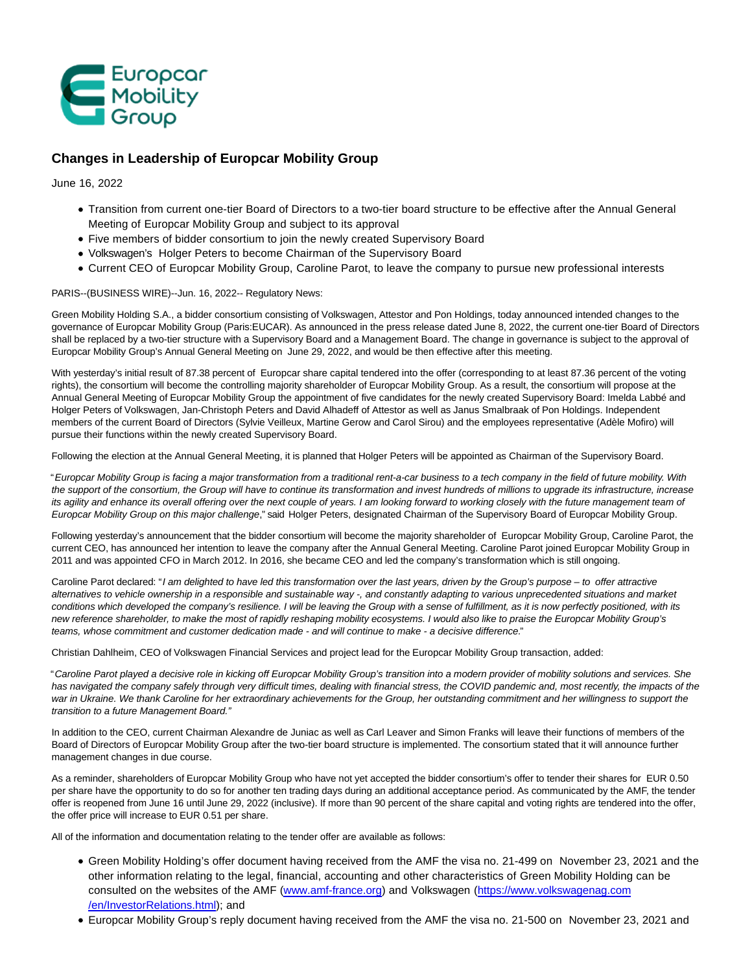

# **Changes in Leadership of Europcar Mobility Group**

June 16, 2022

- Transition from current one-tier Board of Directors to a two-tier board structure to be effective after the Annual General Meeting of Europcar Mobility Group and subject to its approval
- Five members of bidder consortium to join the newly created Supervisory Board
- Volkswagen's Holger Peters to become Chairman of the Supervisory Board
- Current CEO of Europcar Mobility Group, Caroline Parot, to leave the company to pursue new professional interests

## PARIS--(BUSINESS WIRE)--Jun. 16, 2022-- Regulatory News:

Green Mobility Holding S.A., a bidder consortium consisting of Volkswagen, Attestor and Pon Holdings, today announced intended changes to the governance of Europcar Mobility Group (Paris:EUCAR). As announced in the press release dated June 8, 2022, the current one-tier Board of Directors shall be replaced by a two-tier structure with a Supervisory Board and a Management Board. The change in governance is subject to the approval of Europcar Mobility Group's Annual General Meeting on June 29, 2022, and would be then effective after this meeting.

With yesterday's initial result of 87.38 percent of Europcar share capital tendered into the offer (corresponding to at least 87.36 percent of the voting rights), the consortium will become the controlling majority shareholder of Europcar Mobility Group. As a result, the consortium will propose at the Annual General Meeting of Europcar Mobility Group the appointment of five candidates for the newly created Supervisory Board: Imelda Labbé and Holger Peters of Volkswagen, Jan-Christoph Peters and David Alhadeff of Attestor as well as Janus Smalbraak of Pon Holdings. Independent members of the current Board of Directors (Sylvie Veilleux, Martine Gerow and Carol Sirou) and the employees representative (Adèle Mofiro) will pursue their functions within the newly created Supervisory Board.

Following the election at the Annual General Meeting, it is planned that Holger Peters will be appointed as Chairman of the Supervisory Board.

"Europcar Mobility Group is facing a major transformation from a traditional rent-a-car business to a tech company in the field of future mobility. With the support of the consortium, the Group will have to continue its transformation and invest hundreds of millions to upgrade its infrastructure, increase its agility and enhance its overall offering over the next couple of years. I am looking forward to working closely with the future management team of Europcar Mobility Group on this major challenge," said Holger Peters, designated Chairman of the Supervisory Board of Europcar Mobility Group.

Following yesterday's announcement that the bidder consortium will become the majority shareholder of Europcar Mobility Group, Caroline Parot, the current CEO, has announced her intention to leave the company after the Annual General Meeting. Caroline Parot joined Europcar Mobility Group in 2011 and was appointed CFO in March 2012. In 2016, she became CEO and led the company's transformation which is still ongoing.

Caroline Parot declared: "I am delighted to have led this transformation over the last years, driven by the Group's purpose - to offer attractive alternatives to vehicle ownership in a responsible and sustainable way -, and constantly adapting to various unprecedented situations and market conditions which developed the company's resilience. I will be leaving the Group with a sense of fulfillment, as it is now perfectly positioned, with its new reference shareholder, to make the most of rapidly reshaping mobility ecosystems. I would also like to praise the Europcar Mobility Group's teams, whose commitment and customer dedication made - and will continue to make - a decisive difference."

Christian Dahlheim, CEO of Volkswagen Financial Services and project lead for the Europcar Mobility Group transaction, added:

"Caroline Parot played a decisive role in kicking off Europcar Mobility Group's transition into a modern provider of mobility solutions and services. She has navigated the company safely through very difficult times, dealing with financial stress, the COVID pandemic and, most recently, the impacts of the war in Ukraine. We thank Caroline for her extraordinary achievements for the Group, her outstanding commitment and her willingness to support the transition to a future Management Board."

In addition to the CEO, current Chairman Alexandre de Juniac as well as Carl Leaver and Simon Franks will leave their functions of members of the Board of Directors of Europcar Mobility Group after the two-tier board structure is implemented. The consortium stated that it will announce further management changes in due course.

As a reminder, shareholders of Europcar Mobility Group who have not yet accepted the bidder consortium's offer to tender their shares for EUR 0.50 per share have the opportunity to do so for another ten trading days during an additional acceptance period. As communicated by the AMF, the tender offer is reopened from June 16 until June 29, 2022 (inclusive). If more than 90 percent of the share capital and voting rights are tendered into the offer, the offer price will increase to EUR 0.51 per share.

All of the information and documentation relating to the tender offer are available as follows:

- Green Mobility Holding's offer document having received from the AMF the visa no. 21-499 on November 23, 2021 and the other information relating to the legal, financial, accounting and other characteristics of Green Mobility Holding can be consulted on the websites of the AMF [\(www.amf-france.org\)](https://cts.businesswire.com/ct/CT?id=smartlink&url=http%3A%2F%2Fwww.amf-france.org%2F&esheet=52752242&newsitemid=20220616005745&lan=en-US&anchor=www.amf-france.org&index=1&md5=206e9fb97b8d005c3c6a54237c9e7276) and Volkswagen [\(https://www.volkswagenag.com](https://cts.businesswire.com/ct/CT?id=smartlink&url=https%3A%2F%2Fwww.volkswagenag.com%2Fen%2FInvestorRelations.html&esheet=52752242&newsitemid=20220616005745&lan=en-US&anchor=https%3A%2F%2Fwww.volkswagenag.com%2Fen%2FInvestorRelations.html&index=2&md5=225e5e8549c11707b9efd28b1e672cf0) /en/InvestorRelations.html); and
- Europcar Mobility Group's reply document having received from the AMF the visa no. 21-500 on November 23, 2021 and